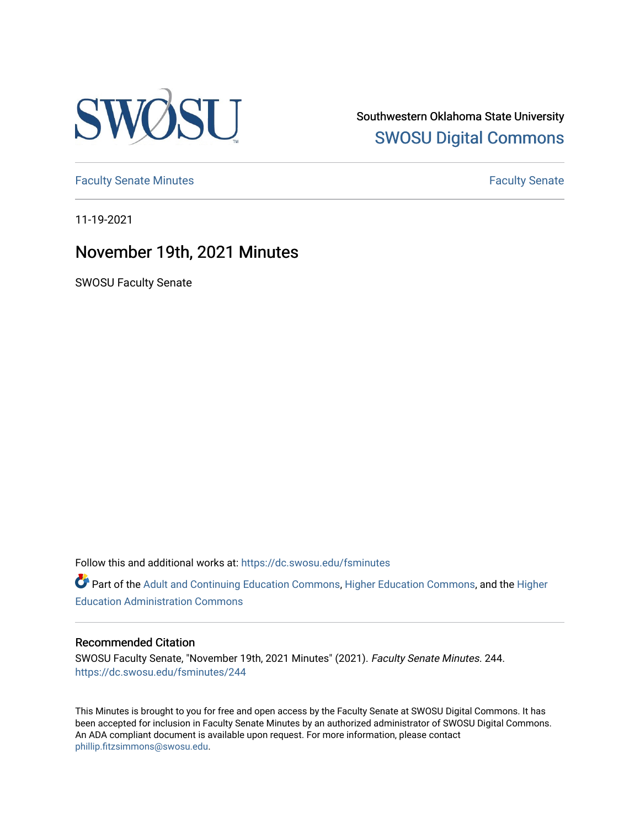

Southwestern Oklahoma State University [SWOSU Digital Commons](https://dc.swosu.edu/) 

[Faculty Senate Minutes](https://dc.swosu.edu/fsminutes) **Faculty** Senate Minutes

11-19-2021

## November 19th, 2021 Minutes

SWOSU Faculty Senate

Follow this and additional works at: [https://dc.swosu.edu/fsminutes](https://dc.swosu.edu/fsminutes?utm_source=dc.swosu.edu%2Ffsminutes%2F244&utm_medium=PDF&utm_campaign=PDFCoverPages) 

Part of the [Adult and Continuing Education Commons,](http://network.bepress.com/hgg/discipline/1375?utm_source=dc.swosu.edu%2Ffsminutes%2F244&utm_medium=PDF&utm_campaign=PDFCoverPages) [Higher Education Commons,](http://network.bepress.com/hgg/discipline/1245?utm_source=dc.swosu.edu%2Ffsminutes%2F244&utm_medium=PDF&utm_campaign=PDFCoverPages) and the [Higher](http://network.bepress.com/hgg/discipline/791?utm_source=dc.swosu.edu%2Ffsminutes%2F244&utm_medium=PDF&utm_campaign=PDFCoverPages) [Education Administration Commons](http://network.bepress.com/hgg/discipline/791?utm_source=dc.swosu.edu%2Ffsminutes%2F244&utm_medium=PDF&utm_campaign=PDFCoverPages) 

#### Recommended Citation

SWOSU Faculty Senate, "November 19th, 2021 Minutes" (2021). Faculty Senate Minutes. 244. [https://dc.swosu.edu/fsminutes/244](https://dc.swosu.edu/fsminutes/244?utm_source=dc.swosu.edu%2Ffsminutes%2F244&utm_medium=PDF&utm_campaign=PDFCoverPages) 

This Minutes is brought to you for free and open access by the Faculty Senate at SWOSU Digital Commons. It has been accepted for inclusion in Faculty Senate Minutes by an authorized administrator of SWOSU Digital Commons. An ADA compliant document is available upon request. For more information, please contact [phillip.fitzsimmons@swosu.edu](mailto:phillip.fitzsimmons@swosu.edu).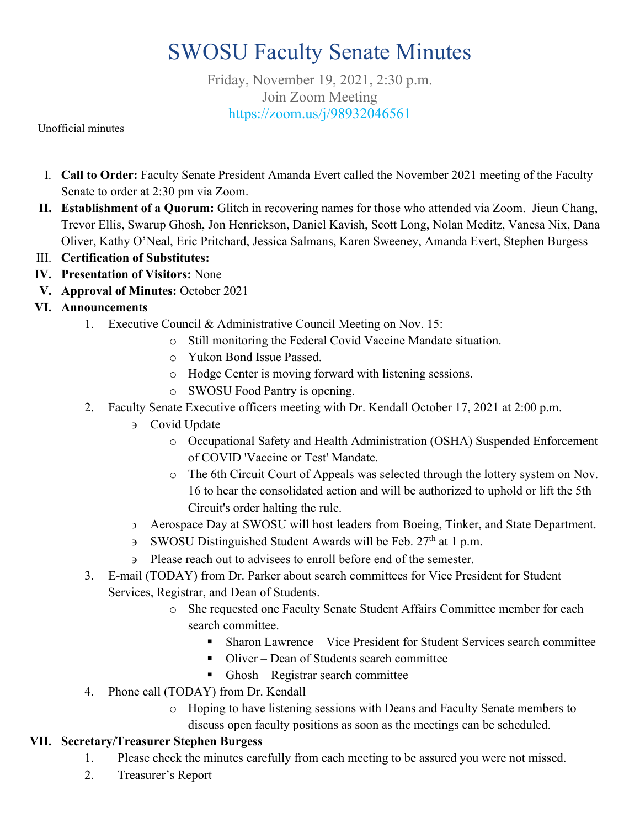# SWOSU Faculty Senate Minutes

Friday, November 19, 2021, 2:30 p.m. Join Zoom Meeting <https://zoom.us/j/98932046561>

Unofficial minutes

- I. **Call to Order:** Faculty Senate President Amanda Evert called the November 2021 meeting of the Faculty Senate to order at 2:30 pm via Zoom.
- **II. Establishment of a Quorum:** Glitch in recovering names for those who attended via Zoom.Jieun Chang, Trevor Ellis, Swarup Ghosh, Jon Henrickson, Daniel Kavish, Scott Long, Nolan Meditz, Vanesa Nix, Dana Oliver, Kathy O'Neal, Eric Pritchard, Jessica Salmans, Karen Sweeney, Amanda Evert, Stephen Burgess
- III. **Certification of Substitutes:**
- **IV. Presentation of Visitors:** None
- **V. Approval of Minutes:** October 2021
- **VI. Announcements**
	- 1. Executive Council & Administrative Council Meeting on Nov. 15:
		- o Still monitoring the Federal Covid Vaccine Mandate situation.
		- o Yukon Bond Issue Passed.
		- o Hodge Center is moving forward with listening sessions.
		- o SWOSU Food Pantry is opening.
	- 2. Faculty Senate Executive officers meeting with Dr. Kendall October 17, 2021 at 2:00 p.m.
		- ∋ Covid Update
			- o Occupational Safety and Health Administration (OSHA) Suspended Enforcement of COVID 'Vaccine or Test' Mandate.
			- o The 6th Circuit Court of Appeals was selected through the lottery system on Nov. 16 to hear the consolidated action and will be authorized to uphold or lift the 5th Circuit's order halting the rule.
		- ∋ Aerospace Day at SWOSU will host leaders from Boeing, Tinker, and State Department.
		- ∋ SWOSU Distinguished Student Awards will be Feb. 27th at 1 p.m.
		- ∋ Please reach out to advisees to enroll before end of the semester.
	- 3. E-mail (TODAY) from Dr. Parker about search committees for Vice President for Student Services, Registrar, and Dean of Students.
		- o She requested one Faculty Senate Student Affairs Committee member for each search committee.
			- Sharon Lawrence Vice President for Student Services search committee
			- Oliver Dean of Students search committee
			- Ghosh Registrar search committee
	- 4. Phone call (TODAY) from Dr. Kendall
		- o Hoping to have listening sessions with Deans and Faculty Senate members to discuss open faculty positions as soon as the meetings can be scheduled.

#### **VII. Secretary/Treasurer Stephen Burgess**

- 1. Please check the minutes carefully from each meeting to be assured you were not missed.
- 2. Treasurer's Report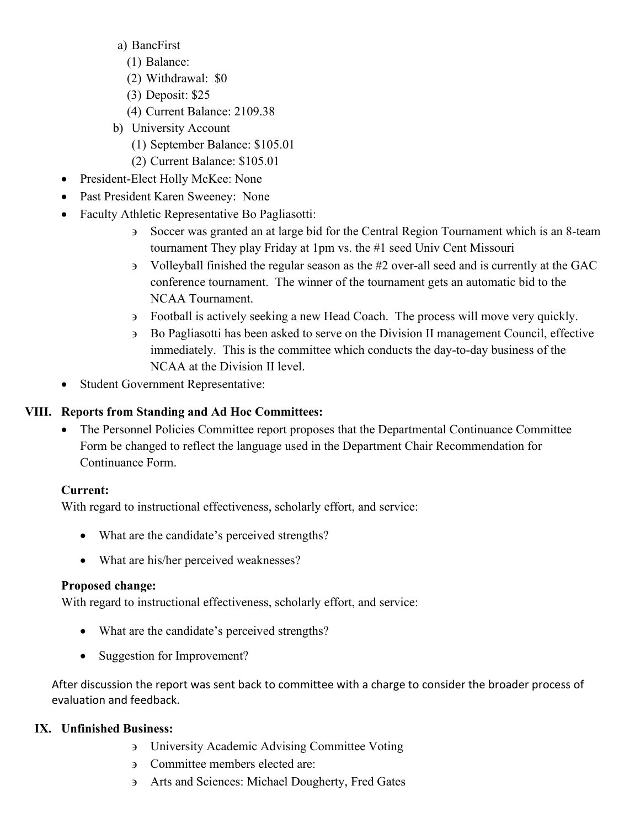- a) BancFirst
	- (1) Balance:
	- (2) Withdrawal: \$0
	- (3) Deposit: \$25
	- (4) Current Balance: 2109.38
- b) University Account
	- (1) September Balance: \$105.01
	- (2) Current Balance: \$105.01
- President-Elect Holly McKee: None
- Past President Karen Sweeney: None
- Faculty Athletic Representative Bo Pagliasotti:
	- ∋ Soccer was granted an at large bid for the Central Region Tournament which is an 8-team tournament They play Friday at 1pm vs. the #1 seed Univ Cent Missouri
	- ∋ Volleyball finished the regular season as the #2 over-all seed and is currently at the GAC conference tournament. The winner of the tournament gets an automatic bid to the NCAA Tournament.
	- ∋ Football is actively seeking a new Head Coach. The process will move very quickly.
	- ∋ Bo Pagliasotti has been asked to serve on the Division II management Council, effective immediately. This is the committee which conducts the day-to-day business of the NCAA at the Division II level.
- Student Government Representative:

#### **VIII. Reports from Standing and Ad Hoc Committees:**

• The Personnel Policies Committee report proposes that the Departmental Continuance Committee Form be changed to reflect the language used in the Department Chair Recommendation for Continuance Form.

#### **Current:**

With regard to instructional effectiveness, scholarly effort, and service:

- What are the candidate's perceived strengths?
- What are his/her perceived weaknesses?

#### **Proposed change:**

With regard to instructional effectiveness, scholarly effort, and service:

- What are the candidate's perceived strengths?
- Suggestion for Improvement?

After discussion the report was sent back to committee with a charge to consider the broader process of evaluation and feedback.

#### **IX. Unfinished Business:**

- ∋ University Academic Advising Committee Voting
- ∋ Committee members elected are:
- ∋ Arts and Sciences: Michael Dougherty, Fred Gates